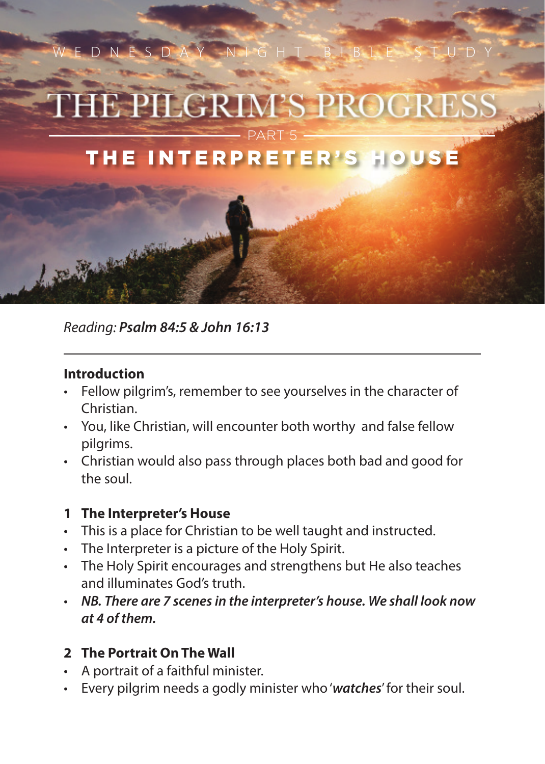

*Reading: Psalm 84:5 & John 16:13*

#### **Introduction**

- Fellow pilgrim's, remember to see yourselves in the character of Christian.
- You, like Christian, will encounter both worthy and false fellow pilgrims.
- Christian would also pass through places both bad and good for the soul.

### **1 The Interpreter's House**

- This is a place for Christian to be well taught and instructed.
- The Interpreter is a picture of the Holy Spirit.
- The Holy Spirit encourages and strengthens but He also teaches and illuminates God's truth.
- *NB. There are 7 scenes in the interpreter's house. We shall look now at 4 of them.*

### **2 The Portrait On The Wall**

- A portrait of a faithful minister.
- Every pilgrim needs a godly minister who '*watches*' for their soul.